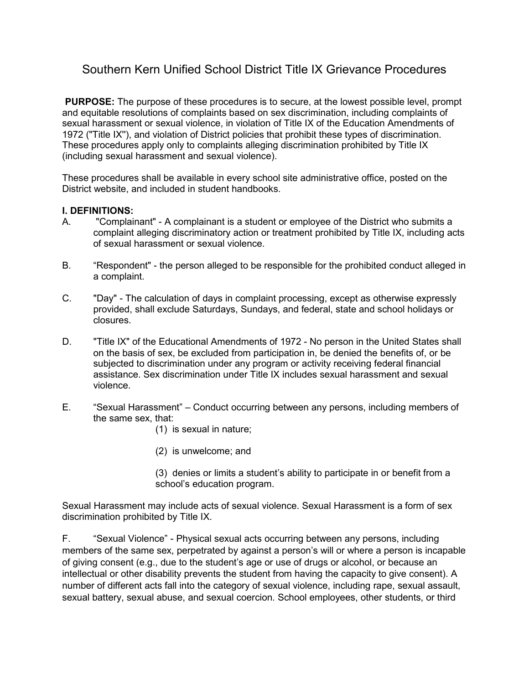# Southern Kern Unified School District Title IX Grievance Procedures

**PURPOSE:** The purpose of these procedures is to secure, at the lowest possible level, prompt and equitable resolutions of complaints based on sex discrimination, including complaints of sexual harassment or sexual violence, in violation of Title IX of the Education Amendments of 1972 ("Title IX''), and violation of District policies that prohibit these types of discrimination. These procedures apply only to complaints alleging discrimination prohibited by Title IX (including sexual harassment and sexual violence).

These procedures shall be available in every school site administrative office, posted on the District website, and included in student handbooks.

#### **I. DEFINITIONS:**

- A. "Complainant" A complainant is a student or employee of the District who submits a complaint alleging discriminatory action or treatment prohibited by Title IX, including acts of sexual harassment or sexual violence.
- B. "Respondent" the person alleged to be responsible for the prohibited conduct alleged in a complaint.
- C. "Day" The calculation of days in complaint processing, except as otherwise expressly provided, shall exclude Saturdays, Sundays, and federal, state and school holidays or closures.
- D. "Title IX" of the Educational Amendments of 1972 No person in the United States shall on the basis of sex, be excluded from participation in, be denied the benefits of, or be subjected to discrimination under any program or activity receiving federal financial assistance. Sex discrimination under Title IX includes sexual harassment and sexual violence.
- E. "Sexual Harassment" Conduct occurring between any persons, including members of the same sex, that:
	- (1) is sexual in nature;
	- (2) is unwelcome; and
	- (3) denies or limits a student's ability to participate in or benefit from a school's education program.

Sexual Harassment may include acts of sexual violence. Sexual Harassment is a form of sex discrimination prohibited by Title IX.

F. "Sexual Violence" - Physical sexual acts occurring between any persons, including members of the same sex, perpetrated by against a person's will or where a person is incapable of giving consent (e.g., due to the student's age or use of drugs or alcohol, or because an intellectual or other disability prevents the student from having the capacity to give consent). A number of different acts fall into the category of sexual violence, including rape, sexual assault, sexual battery, sexual abuse, and sexual coercion. School employees, other students, or third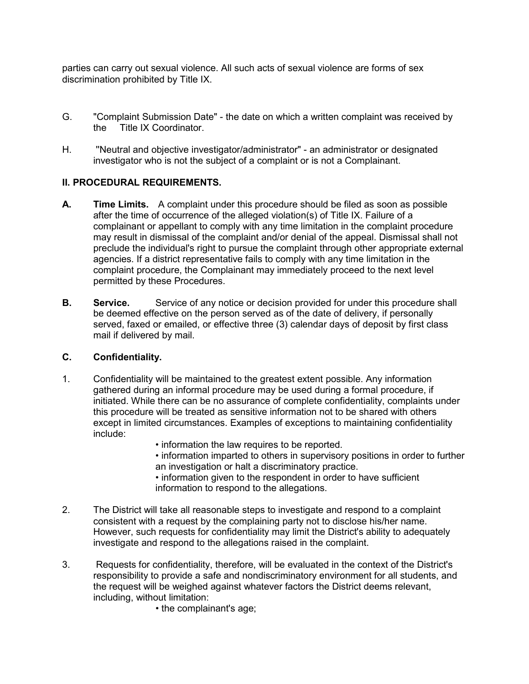parties can carry out sexual violence. All such acts of sexual violence are forms of sex discrimination prohibited by Title IX.

- G. "Complaint Submission Date" the date on which a written complaint was received by the Title IX Coordinator.
- H. ''Neutral and objective investigator/administrator" an administrator or designated investigator who is not the subject of a complaint or is not a Complainant.

# **II. PROCEDURAL REQUIREMENTS.**

- **A. Time Limits.** A complaint under this procedure should be filed as soon as possible after the time of occurrence of the alleged violation(s) of Title IX. Failure of a complainant or appellant to comply with any time limitation in the complaint procedure may result in dismissal of the complaint and/or denial of the appeal. Dismissal shall not preclude the individual's right to pursue the complaint through other appropriate external agencies. If a district representative fails to comply with any time limitation in the complaint procedure, the Complainant may immediately proceed to the next level permitted by these Procedures.
- **B.** Service. Service of any notice or decision provided for under this procedure shall be deemed effective on the person served as of the date of delivery, if personally served, faxed or emailed, or effective three (3) calendar days of deposit by first class mail if delivered by mail.

#### **C. Confidentiality.**

- 1. Confidentiality will be maintained to the greatest extent possible. Any information gathered during an informal procedure may be used during a formal procedure, if initiated. While there can be no assurance of complete confidentiality, complaints under this procedure will be treated as sensitive information not to be shared with others except in limited circumstances. Examples of exceptions to maintaining confidentiality include:
	- information the law requires to be reported.

• information imparted to others in supervisory positions in order to further an investigation or halt a discriminatory practice.

• information given to the respondent in order to have sufficient information to respond to the allegations.

- 2. The District will take all reasonable steps to investigate and respond to a complaint consistent with a request by the complaining party not to disclose his/her name. However, such requests for confidentiality may limit the District's ability to adequately investigate and respond to the allegations raised in the complaint.
- 3. Requests for confidentiality, therefore, will be evaluated in the context of the District's responsibility to provide a safe and nondiscriminatory environment for all students, and the request will be weighed against whatever factors the District deems relevant, including, without limitation:
	- the complainant's age;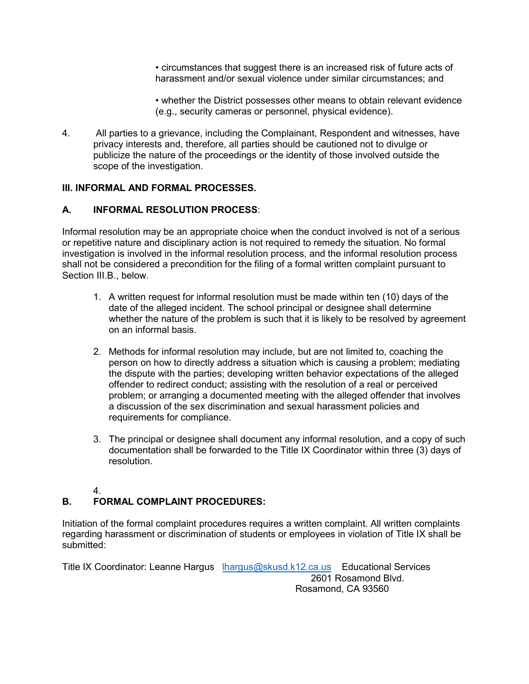• circumstances that suggest there is an increased risk of future acts of harassment and/or sexual violence under similar circumstances; and

• whether the District possesses other means to obtain relevant evidence (e.g., security cameras or personnel, physical evidence).

4. All parties to a grievance, including the Complainant, Respondent and witnesses, have privacy interests and, therefore, all parties should be cautioned not to divulge or publicize the nature of the proceedings or the identity of those involved outside the scope of the investigation.

#### **III. INFORMAL AND FORMAL PROCESSES.**

#### **A. INFORMAL RESOLUTION PROCESS**:

Informal resolution may be an appropriate choice when the conduct involved is not of a serious or repetitive nature and disciplinary action is not required to remedy the situation. No formal investigation is involved in the informal resolution process, and the informal resolution process shall not be considered a precondition for the filing of a formal written complaint pursuant to Section III.B., below.

- 1. A written request for informal resolution must be made within ten (10) days of the date of the alleged incident. The school principal or designee shall determine whether the nature of the problem is such that it is likely to be resolved by agreement on an informal basis.
- 2. Methods for informal resolution may include, but are not limited to, coaching the person on how to directly address a situation which is causing a problem; mediating the dispute with the parties; developing written behavior expectations of the alleged offender to redirect conduct; assisting with the resolution of a real or perceived problem; or arranging a documented meeting with the alleged offender that involves a discussion of the sex discrimination and sexual harassment policies and requirements for compliance.
- 3. The principal or designee shall document any informal resolution, and a copy of such documentation shall be forwarded to the Title IX Coordinator within three (3) days of resolution.

#### 4.

# **B. FORMAL COMPLAINT PROCEDURES:**

Initiation of the formal complaint procedures requires a written complaint. All written complaints regarding harassment or discrimination of students or employees in violation of Title IX shall be submitted:

Title IX Coordinator: Leanne Hargus [lhargus@skusd.k12.ca.us](mailto:lhargus@skusd.k12.ca.us) Educational Services 2601 Rosamond Blvd. Rosamond, CA 93560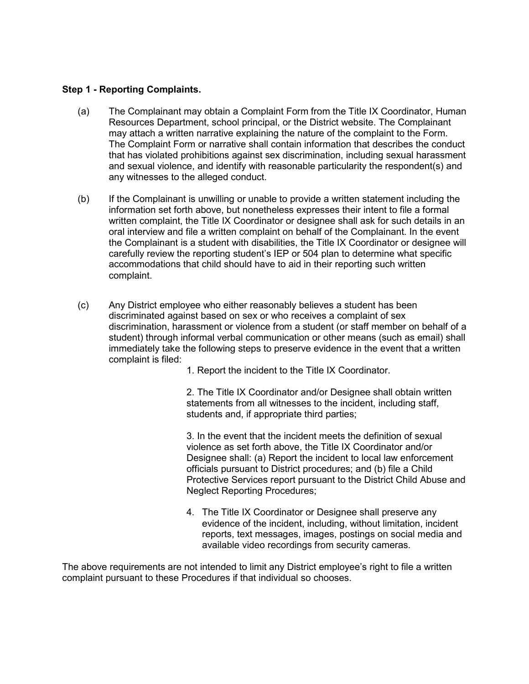#### **Step 1 - Reporting Complaints.**

- (a) The Complainant may obtain a Complaint Form from the Title IX Coordinator, Human Resources Department, school principal, or the District website. The Complainant may attach a written narrative explaining the nature of the complaint to the Form. The Complaint Form or narrative shall contain information that describes the conduct that has violated prohibitions against sex discrimination, including sexual harassment and sexual violence, and identify with reasonable particularity the respondent(s) and any witnesses to the alleged conduct.
- (b) If the Complainant is unwilling or unable to provide a written statement including the information set forth above, but nonetheless expresses their intent to file a formal written complaint, the Title IX Coordinator or designee shall ask for such details in an oral interview and file a written complaint on behalf of the Complainant. In the event the Complainant is a student with disabilities, the Title IX Coordinator or designee will carefully review the reporting student's IEP or 504 plan to determine what specific accommodations that child should have to aid in their reporting such written complaint.
- (c) Any District employee who either reasonably believes a student has been discriminated against based on sex or who receives a complaint of sex discrimination, harassment or violence from a student (or staff member on behalf of a student) through informal verbal communication or other means (such as email) shall immediately take the following steps to preserve evidence in the event that a written complaint is filed:

1. Report the incident to the Title IX Coordinator.

2. The Title IX Coordinator and/or Designee shall obtain written statements from all witnesses to the incident, including staff, students and, if appropriate third parties;

3. In the event that the incident meets the definition of sexual violence as set forth above, the Title IX Coordinator and/or Designee shall: (a) Report the incident to local law enforcement officials pursuant to District procedures; and (b) file a Child Protective Services report pursuant to the District Child Abuse and Neglect Reporting Procedures;

4. The Title IX Coordinator or Designee shall preserve any evidence of the incident, including, without limitation, incident reports, text messages, images, postings on social media and available video recordings from security cameras.

The above requirements are not intended to limit any District employee's right to file a written complaint pursuant to these Procedures if that individual so chooses.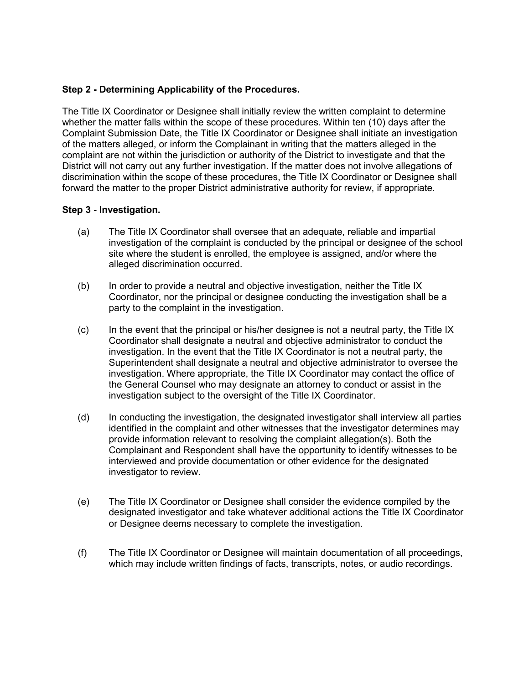#### **Step 2 - Determining Applicability of the Procedures.**

The Title IX Coordinator or Designee shall initially review the written complaint to determine whether the matter falls within the scope of these procedures. Within ten (10) days after the Complaint Submission Date, the Title IX Coordinator or Designee shall initiate an investigation of the matters alleged, or inform the Complainant in writing that the matters alleged in the complaint are not within the jurisdiction or authority of the District to investigate and that the District will not carry out any further investigation. If the matter does not involve allegations of discrimination within the scope of these procedures, the Title IX Coordinator or Designee shall forward the matter to the proper District administrative authority for review, if appropriate.

#### **Step 3 - Investigation.**

- (a) The Title IX Coordinator shall oversee that an adequate, reliable and impartial investigation of the complaint is conducted by the principal or designee of the school site where the student is enrolled, the employee is assigned, and/or where the alleged discrimination occurred.
- (b) In order to provide a neutral and objective investigation, neither the Title IX Coordinator, nor the principal or designee conducting the investigation shall be a party to the complaint in the investigation.
- $(c)$  In the event that the principal or his/her designee is not a neutral party, the Title IX Coordinator shall designate a neutral and objective administrator to conduct the investigation. In the event that the Title IX Coordinator is not a neutral party, the Superintendent shall designate a neutral and objective administrator to oversee the investigation. Where appropriate, the Title IX Coordinator may contact the office of the General Counsel who may designate an attorney to conduct or assist in the investigation subject to the oversight of the Title IX Coordinator.
- (d) In conducting the investigation, the designated investigator shall interview all parties identified in the complaint and other witnesses that the investigator determines may provide information relevant to resolving the complaint allegation(s). Both the Complainant and Respondent shall have the opportunity to identify witnesses to be interviewed and provide documentation or other evidence for the designated investigator to review.
- (e) The Title IX Coordinator or Designee shall consider the evidence compiled by the designated investigator and take whatever additional actions the Title IX Coordinator or Designee deems necessary to complete the investigation.
- (f) The Title IX Coordinator or Designee will maintain documentation of all proceedings, which may include written findings of facts, transcripts, notes, or audio recordings.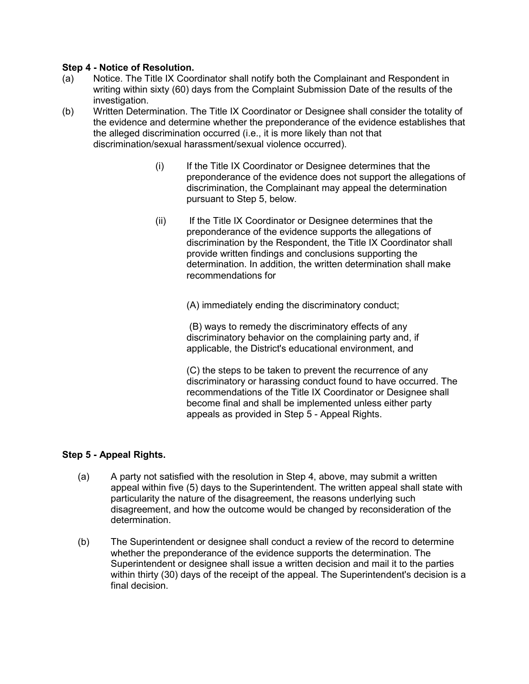#### **Step 4 - Notice of Resolution.**

- (a) Notice. The Title IX Coordinator shall notify both the Complainant and Respondent in writing within sixty (60) days from the Complaint Submission Date of the results of the investigation.
- (b) Written Determination. The Title IX Coordinator or Designee shall consider the totality of the evidence and determine whether the preponderance of the evidence establishes that the alleged discrimination occurred (i.e., it is more likely than not that discrimination/sexual harassment/sexual violence occurred).
	- (i) If the Title IX Coordinator or Designee determines that the preponderance of the evidence does not support the allegations of discrimination, the Complainant may appeal the determination pursuant to Step 5, below.
	- (ii) If the Title IX Coordinator or Designee determines that the preponderance of the evidence supports the allegations of discrimination by the Respondent, the Title IX Coordinator shall provide written findings and conclusions supporting the determination. In addition, the written determination shall make recommendations for

(A) immediately ending the discriminatory conduct;

(B) ways to remedy the discriminatory effects of any discriminatory behavior on the complaining party and, if applicable, the District's educational environment, and

(C) the steps to be taken to prevent the recurrence of any discriminatory or harassing conduct found to have occurred. The recommendations of the Title IX Coordinator or Designee shall become final and shall be implemented unless either party appeals as provided in Step 5 - Appeal Rights.

#### **Step 5 - Appeal Rights.**

- (a) A party not satisfied with the resolution in Step 4, above, may submit a written appeal within five (5) days to the Superintendent. The written appeal shall state with particularity the nature of the disagreement, the reasons underlying such disagreement, and how the outcome would be changed by reconsideration of the determination.
- (b) The Superintendent or designee shall conduct a review of the record to determine whether the preponderance of the evidence supports the determination. The Superintendent or designee shall issue a written decision and mail it to the parties within thirty (30) days of the receipt of the appeal. The Superintendent's decision is a final decision.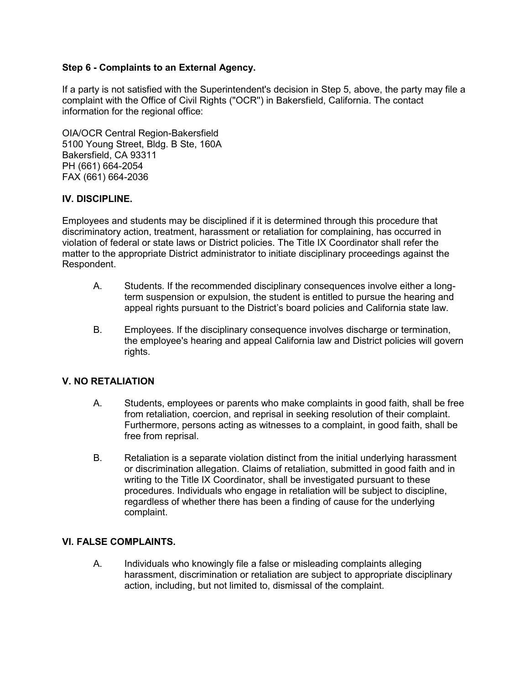#### **Step 6 - Complaints to an External Agency.**

If a party is not satisfied with the Superintendent's decision in Step 5, above, the party may file a complaint with the Office of Civil Rights ("OCR'') in Bakersfield, California. The contact information for the regional office:

OIA/OCR Central Region-Bakersfield 5100 Young Street, Bldg. B Ste, 160A Bakersfield, CA 93311 PH (661) 664-2054 FAX (661) 664-2036

# **IV. DISCIPLINE.**

Employees and students may be disciplined if it is determined through this procedure that discriminatory action, treatment, harassment or retaliation for complaining, has occurred in violation of federal or state laws or District policies. The Title IX Coordinator shall refer the matter to the appropriate District administrator to initiate disciplinary proceedings against the Respondent.

- A. Students. If the recommended disciplinary consequences involve either a longterm suspension or expulsion, the student is entitled to pursue the hearing and appeal rights pursuant to the District's board policies and California state law.
- B. Employees. If the disciplinary consequence involves discharge or termination, the employee's hearing and appeal California law and District policies will govern rights.

# **V. NO RETALIATION**

- A. Students, employees or parents who make complaints in good faith, shall be free from retaliation, coercion, and reprisal in seeking resolution of their complaint. Furthermore, persons acting as witnesses to a complaint, in good faith, shall be free from reprisal.
- B. Retaliation is a separate violation distinct from the initial underlying harassment or discrimination allegation. Claims of retaliation, submitted in good faith and in writing to the Title IX Coordinator, shall be investigated pursuant to these procedures. Individuals who engage in retaliation will be subject to discipline, regardless of whether there has been a finding of cause for the underlying complaint.

#### **VI. FALSE COMPLAINTS.**

A. Individuals who knowingly file a false or misleading complaints alleging harassment, discrimination or retaliation are subject to appropriate disciplinary action, including, but not limited to, dismissal of the complaint.